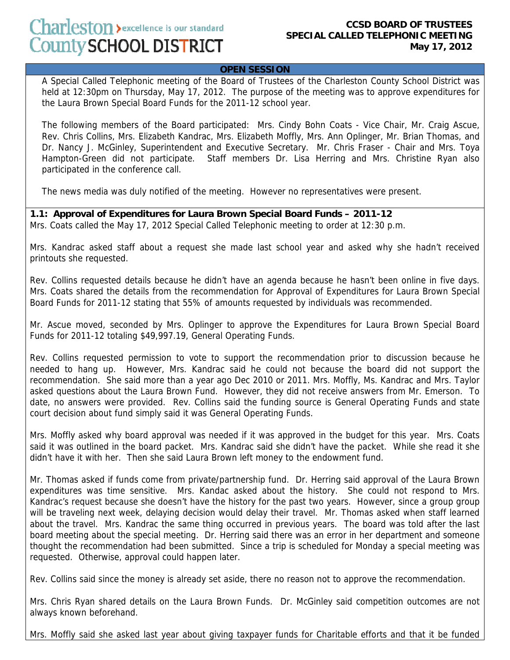## **OPEN SESSION**

 A Special Called Telephonic meeting of the Board of Trustees of the Charleston County School District was held at 12:30pm on Thursday, May 17, 2012. The purpose of the meeting was to approve expenditures for the Laura Brown Special Board Funds for the 2011-12 school year.

The following members of the Board participated: Mrs. Cindy Bohn Coats - Vice Chair, Mr. Craig Ascue, Rev. Chris Collins, Mrs. Elizabeth Kandrac, Mrs. Elizabeth Moffly, Mrs. Ann Oplinger, Mr. Brian Thomas, and Dr. Nancy J. McGinley, Superintendent and Executive Secretary. Mr. Chris Fraser - Chair and Mrs. Toya Hampton-Green did not participate. Staff members Dr. Lisa Herring and Mrs. Christine Ryan also participated in the conference call.

The news media was duly notified of the meeting. However no representatives were present.

## **1.1: Approval of Expenditures for Laura Brown Special Board Funds – 2011-12**

Mrs. Coats called the May 17, 2012 Special Called Telephonic meeting to order at 12:30 p.m.

Mrs. Kandrac asked staff about a request she made last school year and asked why she hadn't received printouts she requested.

Rev. Collins requested details because he didn't have an agenda because he hasn't been online in five days. Mrs. Coats shared the details from the recommendation for Approval of Expenditures for Laura Brown Special Board Funds for 2011-12 stating that 55% of amounts requested by individuals was recommended.

Mr. Ascue moved, seconded by Mrs. Oplinger to approve the Expenditures for Laura Brown Special Board Funds for 2011-12 totaling \$49,997.19, General Operating Funds.

Rev. Collins requested permission to vote to support the recommendation prior to discussion because he needed to hang up. However, Mrs. Kandrac said he could not because the board did not support the recommendation. She said more than a year ago Dec 2010 or 2011. Mrs. Moffly, Ms. Kandrac and Mrs. Taylor asked questions about the Laura Brown Fund. However, they did not receive answers from Mr. Emerson. To date, no answers were provided. Rev. Collins said the funding source is General Operating Funds and state court decision about fund simply said it was General Operating Funds.

Mrs. Moffly asked why board approval was needed if it was approved in the budget for this year. Mrs. Coats said it was outlined in the board packet. Mrs. Kandrac said she didn't have the packet. While she read it she didn't have it with her. Then she said Laura Brown left money to the endowment fund.

Mr. Thomas asked if funds come from private/partnership fund. Dr. Herring said approval of the Laura Brown expenditures was time sensitive. Mrs. Kandac asked about the history. She could not respond to Mrs. Kandrac's request because she doesn't have the history for the past two years. However, since a group group will be traveling next week, delaying decision would delay their travel. Mr. Thomas asked when staff learned about the travel. Mrs. Kandrac the same thing occurred in previous years. The board was told after the last board meeting about the special meeting. Dr. Herring said there was an error in her department and someone thought the recommendation had been submitted. Since a trip is scheduled for Monday a special meeting was requested. Otherwise, approval could happen later.

Rev. Collins said since the money is already set aside, there no reason not to approve the recommendation.

Mrs. Chris Ryan shared details on the Laura Brown Funds. Dr. McGinley said competition outcomes are not always known beforehand.

Mrs. Moffly said she asked last year about giving taxpayer funds for Charitable efforts and that it be funded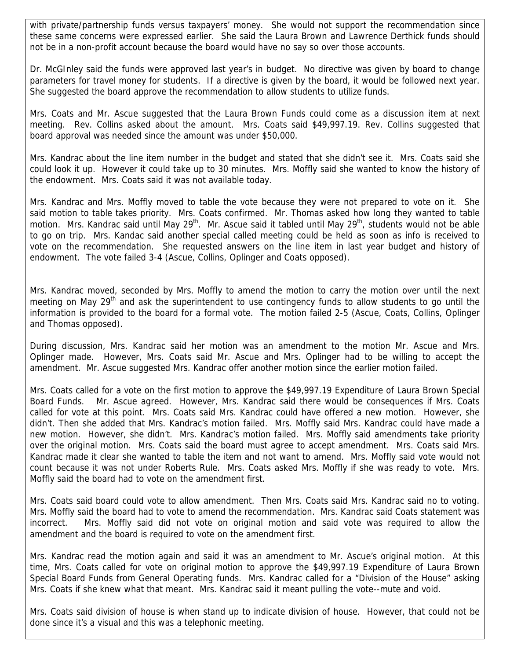with private/partnership funds versus taxpayers' money. She would not support the recommendation since these same concerns were expressed earlier. She said the Laura Brown and Lawrence Derthick funds should not be in a non-profit account because the board would have no say so over those accounts.

Dr. McGInley said the funds were approved last year's in budget. No directive was given by board to change parameters for travel money for students. If a directive is given by the board, it would be followed next year. She suggested the board approve the recommendation to allow students to utilize funds.

Mrs. Coats and Mr. Ascue suggested that the Laura Brown Funds could come as a discussion item at next meeting. Rev. Collins asked about the amount. Mrs. Coats said \$49,997.19. Rev. Collins suggested that board approval was needed since the amount was under \$50,000.

Mrs. Kandrac about the line item number in the budget and stated that she didn't see it. Mrs. Coats said she could look it up. However it could take up to 30 minutes. Mrs. Moffly said she wanted to know the history of the endowment. Mrs. Coats said it was not available today.

Mrs. Kandrac and Mrs. Moffly moved to table the vote because they were not prepared to vote on it. She said motion to table takes priority. Mrs. Coats confirmed. Mr. Thomas asked how long they wanted to table motion. Mrs. Kandrac said until May 29<sup>th</sup>. Mr. Ascue said it tabled until May 29<sup>th</sup>, students would not be able to go on trip. Mrs. Kandac said another special called meeting could be held as soon as info is received to vote on the recommendation. She requested answers on the line item in last year budget and history of endowment. The vote failed 3-4 (Ascue, Collins, Oplinger and Coats opposed).

Mrs. Kandrac moved, seconded by Mrs. Moffly to amend the motion to carry the motion over until the next meeting on May 29<sup>th</sup> and ask the superintendent to use contingency funds to allow students to go until the information is provided to the board for a formal vote. The motion failed 2-5 (Ascue, Coats, Collins, Oplinger and Thomas opposed).

During discussion, Mrs. Kandrac said her motion was an amendment to the motion Mr. Ascue and Mrs. Oplinger made. However, Mrs. Coats said Mr. Ascue and Mrs. Oplinger had to be willing to accept the amendment. Mr. Ascue suggested Mrs. Kandrac offer another motion since the earlier motion failed.

Mrs. Coats called for a vote on the first motion to approve the \$49,997.19 Expenditure of Laura Brown Special Board Funds. Mr. Ascue agreed. However, Mrs. Kandrac said there would be consequences if Mrs. Coats called for vote at this point. Mrs. Coats said Mrs. Kandrac could have offered a new motion. However, she didn't. Then she added that Mrs. Kandrac's motion failed. Mrs. Moffly said Mrs. Kandrac could have made a new motion. However, she didn't. Mrs. Kandrac's motion failed. Mrs. Moffly said amendments take priority over the original motion. Mrs. Coats said the board must agree to accept amendment. Mrs. Coats said Mrs. Kandrac made it clear she wanted to table the item and not want to amend. Mrs. Moffly said vote would not count because it was not under Roberts Rule. Mrs. Coats asked Mrs. Moffly if she was ready to vote. Mrs. Moffly said the board had to vote on the amendment first.

Mrs. Coats said board could vote to allow amendment. Then Mrs. Coats said Mrs. Kandrac said no to voting. Mrs. Moffly said the board had to vote to amend the recommendation. Mrs. Kandrac said Coats statement was incorrect. Mrs. Moffly said did not vote on original motion and said vote was required to allow the amendment and the board is required to vote on the amendment first.

Mrs. Kandrac read the motion again and said it was an amendment to Mr. Ascue's original motion. At this time, Mrs. Coats called for vote on original motion to approve the \$49,997.19 Expenditure of Laura Brown Special Board Funds from General Operating funds. Mrs. Kandrac called for a "Division of the House" asking Mrs. Coats if she knew what that meant. Mrs. Kandrac said it meant pulling the vote--mute and void.

Mrs. Coats said division of house is when stand up to indicate division of house. However, that could not be done since it's a visual and this was a telephonic meeting.